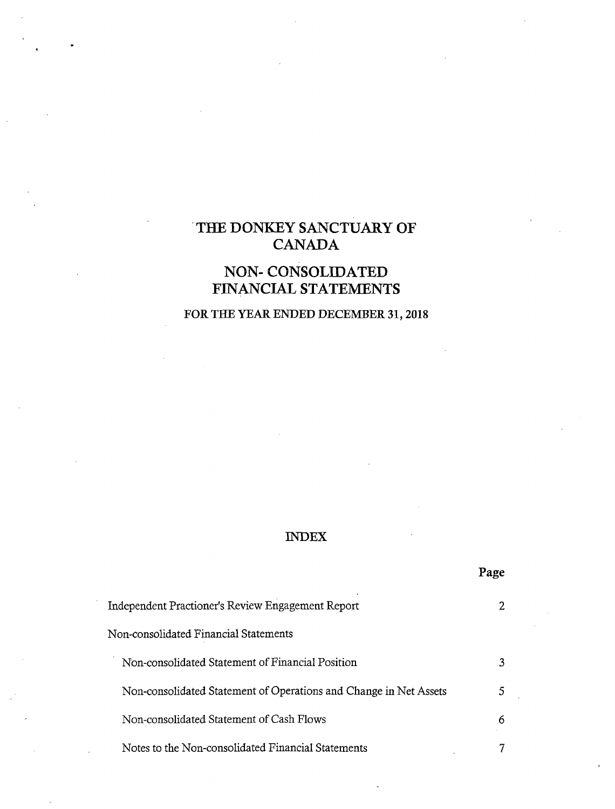# **'THE DONKEY SANCTUARY OF CANADA**

# **NON- CONSOLIDATED FINANCIAL STATEMENTS**

# **FOR THE YEAR ENDED DECEMBER 31, 2018**

## **INDEX**

**Page**

| Independent Practioner's Review Engagement Report                 |   |
|-------------------------------------------------------------------|---|
| Non-consolidated Financial Statements                             |   |
| Non-consolidated Statement of Financial Position                  |   |
| Non-consolidated Statement of Operations and Change in Net Assets |   |
| Non-consolidated Statement of Cash Flows                          | 6 |
| Notes to the Non-consolidated Financial Statements                |   |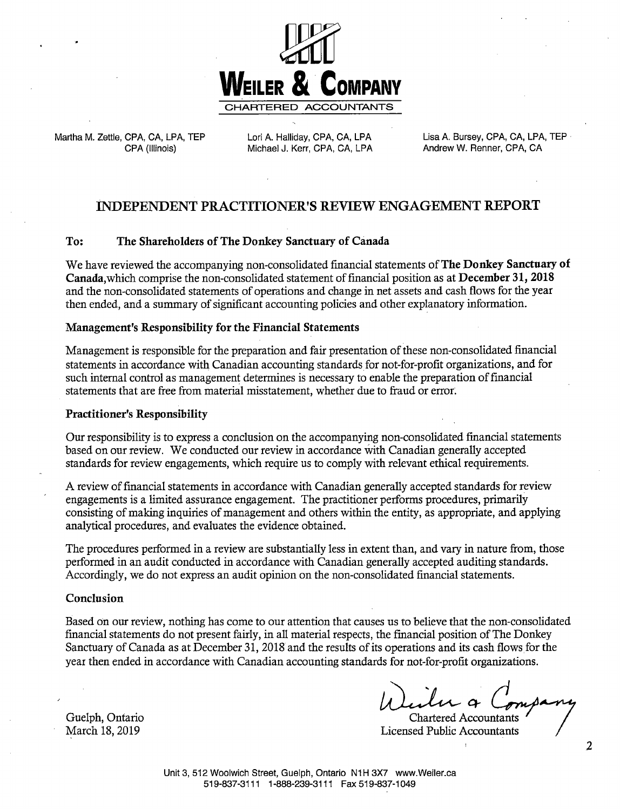

Martha M. Zettle, CPA, CA, LPA, TEP CPA (Illinois)

Lori A. Halliday, CPA, CA, LPA Michael J. Kerr, CPA, CA, LPA Lisa A. Bursey, CPA, CA, LPA, TEP Andrew W. Renner, CPA, CA

## **INDEPENDENT PRACTITIONER'S REVIEW ENGAGEMENT REPORT**

### To: The Shareholders of The Donkey Sanctuary of Canada

We have reviewed the accompanying non-consolidated financial statements of The Donkey Sanctuary of Canada,which comprise the non-consolidated statement of financial position as at December 31, 2018 and the non-consolidated statements of operations and change in net assets and cash flows for the year then ended, and a summary of significant accounting policies and other explanatory information.

### **Management's Responsibility for the Financial Statements**

Management is responsible for the preparation and fair presentation of these non-consolidated financial statements in accordance with Canadian accounting standards for not-for-profit organizations, and for such intemal control as management determines is necessary to enable the preparation of fmancial statements that are free from material misstatement, whether due to fraud or error:

#### **Practitioner's Responsibility**

Our responsibility is to express a conclusion on the accompanying non-consolidated financial statements based on our review. We conducted our review in accordance With Canadian generally accepted standards for review engagements, which require us to comply with relevant ethical requirements.

A review of financial statements in accordance with Canadian generally accepted standards for review engagements is a limited assurance engagement. The practitioner performs procedures, primarily consisting of making inquiries of management and others within the entity, as appropriate, and applying analytical procedures, and evaluates the evidence obtained.

The procedures performed in a review are substantially less in extent than, and vary in nature from, those performed in an audit conducted in accordance with Canadian generally accepted auditing standards. Accordingly, we do not express an audit opinion on the non-consolidated financial statements.

### **Conclusion**

Based on our review, nothing has come to our attention that causes us to believe that the non-consolidated financial statements do not present fairly, in all material respects, the financial position of The Donkey Sanctuary of Canada as at December 31, 2018 and the results of its operations and its cash flows for the year then ended in accordance with Canadian accounting standards for not-for-profit organizations.

Weiler a

**Chartered Accountants Licensed Public Accountants** 

Guelph, Ontario March 18, 2019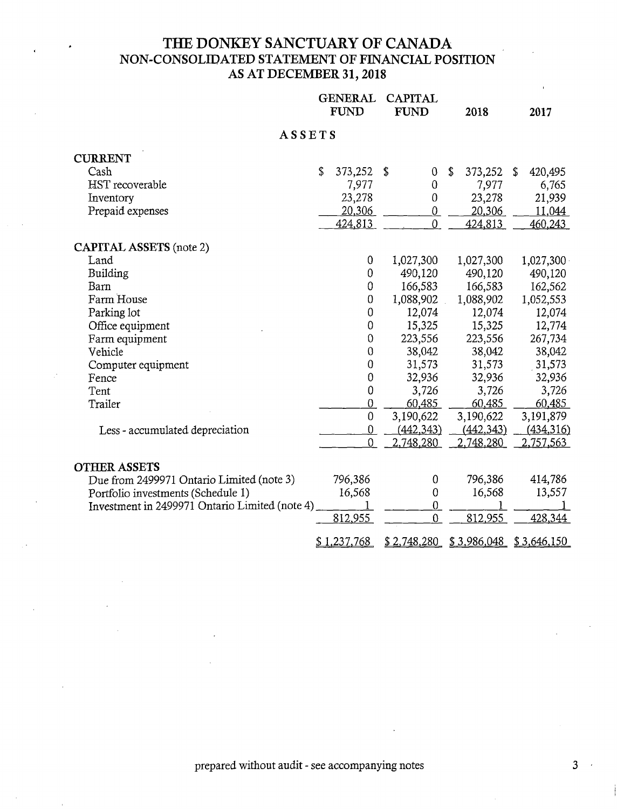## **THE DONKEY SANCTUARY OF CANADA NON-CONSOLIDATED STATEMENT OF FINANCIAL POSITION AS AT DECEMBER 31, 2018**

|                                                | <b>GENERAL</b><br><b>CAPITAL</b><br><b>FUND</b><br><b>FUND</b> |                  | 2018             |    | 2017                      |                  |
|------------------------------------------------|----------------------------------------------------------------|------------------|------------------|----|---------------------------|------------------|
| ASSETS                                         |                                                                |                  |                  |    |                           |                  |
| <b>CURRENT</b>                                 |                                                                |                  |                  |    |                           |                  |
| Cash                                           | \$                                                             | 373,252          | \$<br>$\theta$   | \$ | 373,252                   | \$<br>420,495    |
| <b>HST</b> recoverable                         |                                                                | 7,977            | $\mathbf 0$      |    | 7,977                     | 6,765            |
| Inventory                                      |                                                                | 23,278           | $\boldsymbol{0}$ |    | 23,278                    | 21,939           |
| Prepaid expenses                               |                                                                | 20,306           | $\overline{0}$   |    | 20,306                    | 11,044           |
|                                                |                                                                | 424,813          | $\theta$         |    | 424,813                   | 460,243          |
| <b>CAPITAL ASSETS</b> (note 2)                 |                                                                |                  |                  |    |                           |                  |
| Land                                           |                                                                | 0                | 1,027,300        |    | 1,027,300                 | 1,027,300        |
| Building                                       |                                                                | $\boldsymbol{0}$ | 490,120          |    | 490,120                   | 490,120          |
| Barn                                           |                                                                | $\theta$         | 166,583          |    | 166,583                   | 162,562          |
| Farm House                                     |                                                                | 0                | 1,088,902        |    | 1,088,902                 | 1,052,553        |
| Parking lot                                    |                                                                | $\mathbf 0$      | 12,074           |    | 12,074                    | 12,074           |
| Office equipment                               |                                                                | 0                | 15,325           |    | 15,325                    | 12,774           |
| Farm equipment                                 |                                                                | $\theta$         | 223,556          |    | 223,556                   | 267,734          |
| Vehicle                                        |                                                                | 0                | 38,042           |    | 38,042                    | 38,042           |
| Computer equipment                             |                                                                | 0                | 31,573           |    | 31,573                    | 31,573           |
| Fence                                          |                                                                | $\boldsymbol{0}$ | 32,936           |    | 32,936                    | 32,936           |
| Tent                                           |                                                                | $\pmb{0}$        | 3,726            |    | 3,726                     | 3,726            |
| Trailer                                        |                                                                | $\overline{0}$   | 60,485           |    | 60,485                    | 60,485           |
|                                                |                                                                | $\mathbf 0$      | 3,190,622        |    | 3,190,622                 | 3,191,879        |
| Less - accumulated depreciation                |                                                                | $\overline{0}$   | (442, 343)       |    | (442, 343)                | <u>(434,316)</u> |
|                                                |                                                                | $\overline{0}$   | 2,748,280        |    | 2,748,280                 | 2,757,563        |
| <b>OTHER ASSETS</b>                            |                                                                |                  |                  |    |                           |                  |
| Due from 2499971 Ontario Limited (note 3)      |                                                                | 796,386          | 0                |    | 796,386                   | 414,786          |
| Portfolio investments (Schedule 1)             |                                                                | 16,568           | $\theta$         |    | 16,568                    | 13,557           |
| Investment in 2499971 Ontario Limited (note 4) |                                                                |                  | $\overline{0}$   |    |                           |                  |
|                                                |                                                                | 812,955          | $\overline{0}$   |    | 812,955                   | 428,344          |
|                                                |                                                                | \$1,237,768      | \$2,748,280      |    | $$3,986,048$ $$3,646,150$ |                  |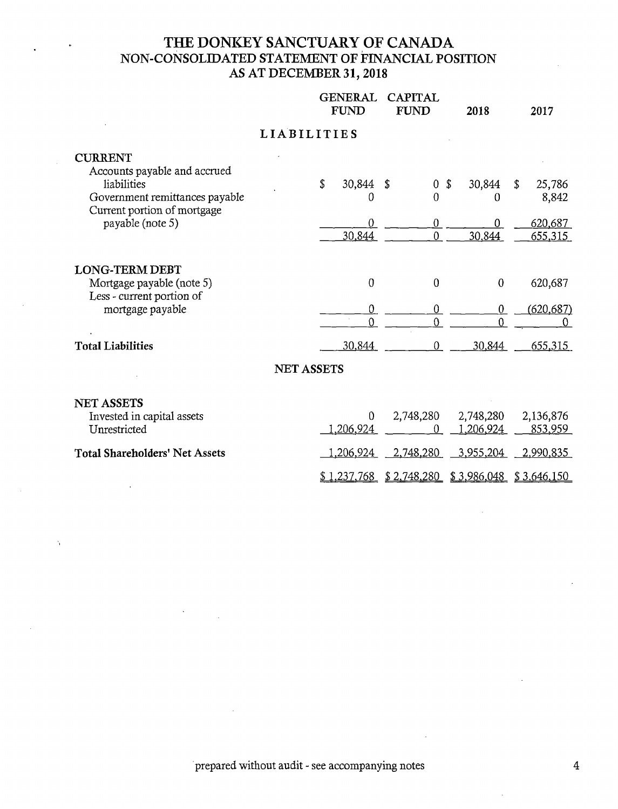## THE DONKEY SANCTUARY OF CANADA NON-CONSOLIDATED STATEMENT OF FINANCIAL POSITION AS AT DECEMBER **31, 2018**

|                                                                                                                                                    |                    | <b>GENERAL</b><br><b>CAPITAL</b><br><b>FUND</b><br><b>FUND</b> |                                                   | 2018                             | 2017                                        |
|----------------------------------------------------------------------------------------------------------------------------------------------------|--------------------|----------------------------------------------------------------|---------------------------------------------------|----------------------------------|---------------------------------------------|
|                                                                                                                                                    | <b>LIABILITIES</b> |                                                                |                                                   |                                  |                                             |
| <b>CURRENT</b><br>Accounts payable and accrued<br>liabilities<br>Government remittances payable<br>Current portion of mortgage<br>payable (note 5) |                    | \$<br>30,844<br>0<br>$\overline{0}$<br>30,844                  | S<br>$\overline{0}$<br>0<br>$\boldsymbol{0}$<br>0 | \$<br>30,844<br>0<br>0<br>30,844 | 25,786<br>\$<br>8,842<br>620,687<br>655,315 |
| <b>LONG-TERM DEBT</b><br>Mortgage payable (note 5)<br>Less - current portion of<br>mortgage payable                                                |                    | $\boldsymbol{0}$<br>$\mathbf 0$<br>$\Omega$                    | 0<br>$\overline{0}$<br>$\overline{0}$             | $\mathbf 0$<br>$\theta$<br>U     | 620,687<br>(620, 687)<br>$\Omega$           |
| <b>Total Liabilities</b>                                                                                                                           |                    | 30,844                                                         | $\overline{0}$                                    | 30,844                           | 655,315                                     |
|                                                                                                                                                    | <b>NET ASSETS</b>  |                                                                |                                                   |                                  |                                             |
| <b>NET ASSETS</b><br>Invested in capital assets<br>Unrestricted                                                                                    |                    | $\theta$<br><u>,206,924</u>                                    | 2,748,280<br>0                                    | 2,748,280<br>1,206,924           | 2,136,876<br>853,959                        |
| <b>Total Shareholders' Net Assets</b>                                                                                                              |                    | <u>,206,924 </u>                                               | 2,748,280                                         | <u>3,955,204</u>                 | 2,990,835                                   |
|                                                                                                                                                    |                    | <u>\$1,237,768</u>                                             | \$2,748,280                                       | \$3,986,048                      | \$3,646,150                                 |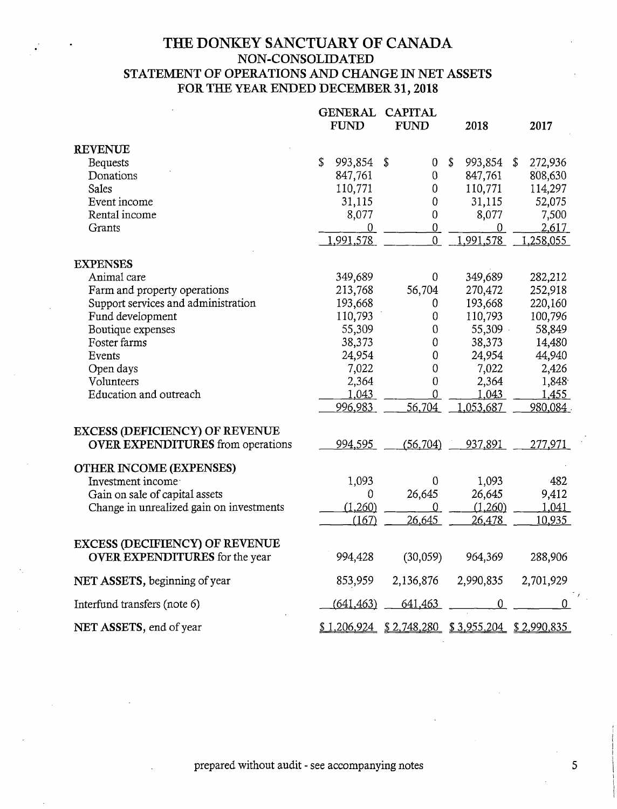## **TIlE DONKEY SANCTUARY OF CANADA** NON-CONSOLIDATED STATEMENT OF OPERATIONS AND CHANGE IN NET ASSETS FOR THE YEAR ENDED DECEMBER 31, **2018**

|                                          | <b>GENERAL</b><br><b>CAPITAL</b><br><b>FUND</b><br><b>FUND</b> |            | 2018                      |               | 2017     |                           |
|------------------------------------------|----------------------------------------------------------------|------------|---------------------------|---------------|----------|---------------------------|
| <b>REVENUE</b>                           |                                                                |            |                           |               |          |                           |
| <b>Bequests</b>                          | \$                                                             | 993,854    | \$<br>$\boldsymbol{0}$    | \$<br>993,854 |          | \$<br>272,936             |
| Donations                                |                                                                | 847,761    | $\boldsymbol{0}$          | 847,761       |          | 808,630                   |
| Sales                                    |                                                                | 110,771    | $\boldsymbol{0}$          | 110,771       |          | 114,297                   |
| Event income                             |                                                                | 31,115     | $\theta$                  | 31,115        |          | 52,075                    |
| Rental income                            |                                                                | 8,077      | $\boldsymbol{0}$          |               | 8,077    | 7,500                     |
| Grants                                   |                                                                | 0          | $\overline{0}$            |               | $\bf{0}$ | 2,617                     |
|                                          |                                                                | 1,991,578  | $\overline{0}$            | 1,991,578     |          | 1,258,055                 |
| <b>EXPENSES</b>                          |                                                                |            |                           |               |          |                           |
| Animal care                              |                                                                | 349,689    | 0                         | 349,689       |          | 282,212                   |
| Farm and property operations             |                                                                | 213,768    | 56,704                    | 270,472       |          | 252,918                   |
| Support services and administration      |                                                                | 193,668    | 0                         | 193,668       |          | 220,160                   |
| Fund development                         |                                                                | 110,793    | $\boldsymbol{0}$          | 110,793       |          | 100,796                   |
| Boutique expenses                        |                                                                | 55,309     | $\mathbf 0$               |               | 55,309   | 58,849                    |
| Foster farms                             |                                                                | 38,373     | $\theta$                  | 38,373        |          | 14,480                    |
| Events                                   |                                                                | 24,954     | $\mathbf 0$               | 24,954        |          | 44,940                    |
| Open days                                |                                                                | 7,022      | $\overline{0}$            |               | 7,022    | 2,426                     |
| Volunteers                               |                                                                | 2,364      | $\boldsymbol{0}$          |               | 2,364    | 1,848                     |
| Education and outreach                   |                                                                | 1,043      | $\overline{0}$            |               | 1,043    | 1,455                     |
|                                          |                                                                | 996,983    | 56,704                    | .053,687      |          | 980,084                   |
| <b>EXCESS (DEFICIENCY) OF REVENUE</b>    |                                                                |            |                           |               |          |                           |
| <b>OVER EXPENDITURES</b> from operations |                                                                | 994.595    | (56, 704)                 | 937,891       |          | 277,971                   |
| <b>OTHER INCOME (EXPENSES)</b>           |                                                                |            |                           |               |          |                           |
| Investment income                        |                                                                | 1,093      | $\overline{0}$            |               | 1,093    | 482                       |
| Gain on sale of capital assets           |                                                                | 0          | 26,645                    | 26,645        |          | 9,412                     |
| Change in unrealized gain on investments |                                                                | (1,260)    | 0                         |               | (1,260)  | 1,041                     |
|                                          |                                                                | (167)      | 26,645                    | 26,478        |          | 10,935                    |
| <b>EXCESS (DECIFIENCY) OF REVENUE</b>    |                                                                |            |                           |               |          |                           |
| <b>OVER EXPENDITURES</b> for the year    |                                                                | 994,428    | (30,059)                  | 964,369       |          | 288,906                   |
| NET ASSETS, beginning of year            |                                                                | 853,959    | 2,136,876                 | 2,990,835     |          | 2,701,929                 |
| Interfund transfers (note 6)             |                                                                | (641, 463) | 641,463                   |               | 0        | 0                         |
| NET ASSETS, end of year                  |                                                                |            | $$1,206,924$ $$2,748,280$ |               |          | $$3,955,204$ $$2,990,835$ |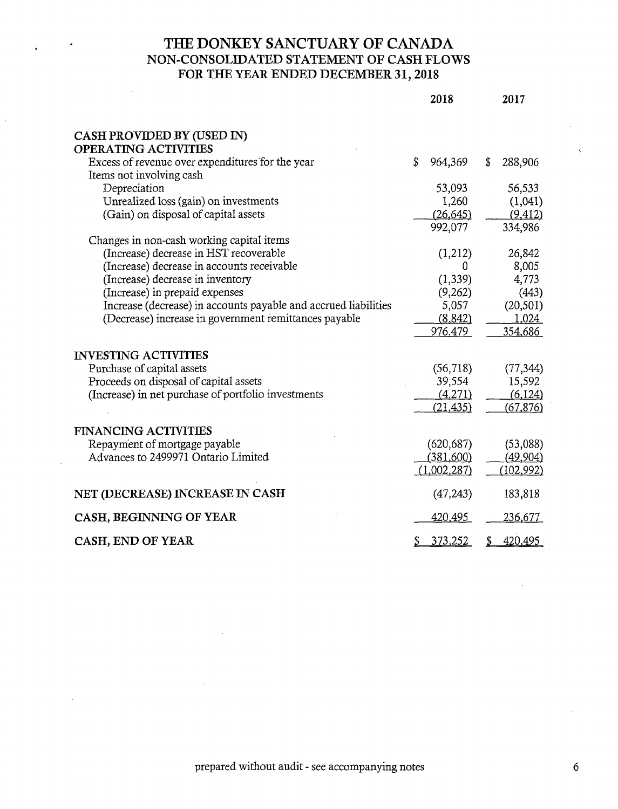## **THE DONKEY SANCTUARY OF CANADA** NON-CONSOLiDATED STATEMENT OF CASH FLOWS FOR THE YEAR ENDED **DECEMBER 31, 2018**

|                                                                              | 2018          | 2017           |
|------------------------------------------------------------------------------|---------------|----------------|
| CASH PROVIDED BY (USED IN)                                                   |               |                |
| <b>OPERATING ACTIVITIES</b>                                                  |               |                |
| Excess of revenue over expenditures for the year<br>Items not involving cash | \$<br>964,369 | \$<br>288,906  |
| Depreciation                                                                 | 53,093        | 56,533         |
| Unrealized loss (gain) on investments                                        | 1,260         | (1,041)        |
| (Gain) on disposal of capital assets                                         | (26, 645)     | (9, 412)       |
|                                                                              | 992,077       | 334,986        |
| Changes in non-cash working capital items                                    |               |                |
| (Increase) decrease in HST recoverable                                       | (1,212)       | 26,842         |
| (Increase) decrease in accounts receivable                                   | 0             | 8,005          |
| (Increase) decrease in inventory                                             | (1, 339)      | 4,773          |
| (Increase) in prepaid expenses                                               | (9,262)       | (443)          |
| Increase (decrease) in accounts payable and accrued liabilities              | 5,057         | (20, 501)      |
| (Decrease) increase in government remittances payable                        | (8, 842)      | 1,024          |
|                                                                              | 976,479       | 354,686        |
| <b>INVESTING ACTIVITIES</b>                                                  |               |                |
| Purchase of capital assets                                                   | (56,718)      | (77, 344)      |
| Proceeds on disposal of capital assets                                       | 39,554        | 15,592         |
| (Increase) in net purchase of portfolio investments                          | (4,271)       | (6, 124)       |
|                                                                              | (21, 435)     | (67, 876)      |
|                                                                              |               |                |
| <b>FINANCING ACTIVITIES</b>                                                  |               |                |
| Repayment of mortgage payable                                                | (620, 687)    | (53,088)       |
| Advances to 2499971 Ontario Limited                                          | (381,600)     | (49,904)       |
|                                                                              | (1,002,287)   | (102, 992)     |
| NET (DECREASE) INCREASE IN CASH                                              | (47, 243)     | 183,818        |
| CASH, BEGINNING OF YEAR                                                      | 420,495       | <u>236,677</u> |
| CASH, END OF YEAR                                                            | \$<br>373,252 | 420,495        |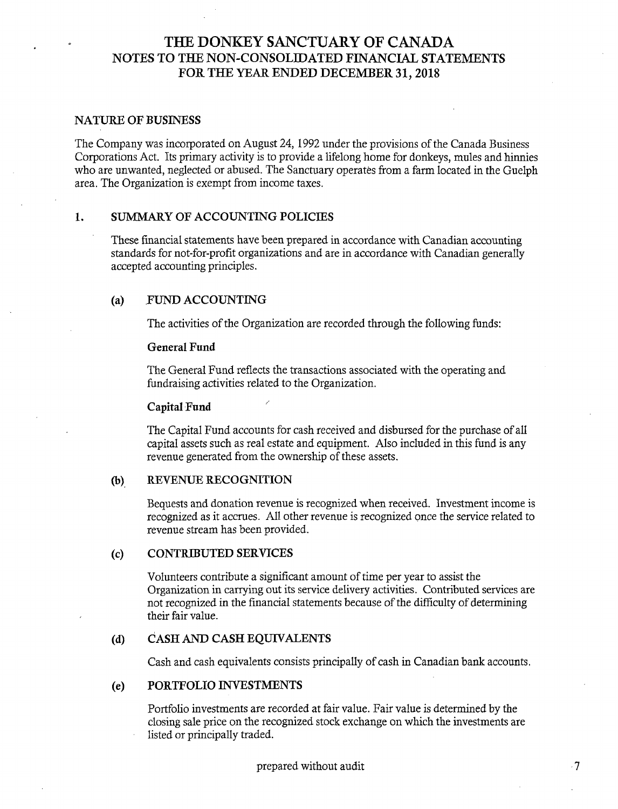### **NATURE OF BUSINESS**

The Company was incorporated on August 24, 1992 under the provisions of the Canada Business Corporations Act. Its primary activity is to provide a lifelong home for donkeys, mules and hinnies who are unwanted, neglected or abused. The Sanctuary operates from a farm located in the Guelph area. The Organization is exempt from income taxes.

#### $\mathbf{1}$ . SUMMARY OF ACCOUNTING POLICIES

These financial statements have been prepared in accordance with Canadian accounting standards for not-for-profit organizations and are in accordance with Canadian generally accepted accounting principles.

#### **(a)** .FUND ACCOUNTING

The activities of the Organization are recorded through the following funds:

#### General Fund

The General Fund reflects the transactions associated with the operating and fundraising activities related to the Organization.

#### **Capital Fund**

The Capital Fund accounts for cash received and disbursed for the purchase of all capital assets such as real estate and equipment. Also included in this fund is any revenue generated from the ownership of these assets.

#### $(b)$ **REVENUE KECO** GNITION

Bequests and donation revenue is recognized when received. Investment income is recognized as it accrues. All other revenue is recognized once the service related to revenue stream has been provided.

#### (c) **CONTRIBUTED SERVICES**

Volunteers contribute a significant amount of time per year to assist the Organization in carrying out its service delivery activities. Contributed services are not recognized in the financial statements because of the difficulty of determining their fair value.

#### **(d) CASH AND CASH EQUIVALENTS**

Cash and cash equivalents consists principally of cash in Canadian bank accounts.

#### **(e) PORTFOLIO INVESTMENTS**

Portfolio investments are recorded at fair value. Fair value is determined by the dosing sale price on the recognized stock exchange on which the investments are listed or principally traded.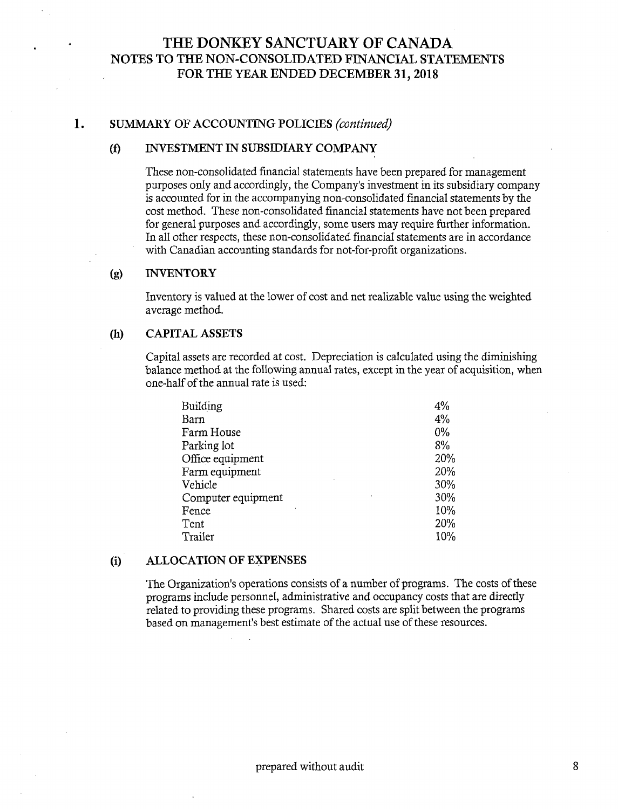#### 1. SUMMARY OF ACCOUNTING POLICIES *(continued)*

### (f) INVESTMENT IN SUBS]DIARY COMPANY

These non-consolidated financial statements have been prepared for management purposes only and accordingly, the Company's investment in its subsidiary company is accounted for in the accompanying non-consolidated financial statements by the cost method. These non-consolidated financial statements have not been prepared for general purposes and accordingly, some users may require further information. In aI1 other respects, these non-consolidated financial statements are in accordance with Canadian accounting standards for not-for-profit organizations.

### (g) INVENTORY

Inventory is valued at the lower of cost and net realizable value using the weighted average method.

### (h) CAPITAL ASSETS

Capital assets are recorded at cost. Depreciation is calculated using the diminishing balance method at the following annual rates, except in the year of acquisition, when one-half of the annual rate is used:

| 4%  |
|-----|
| 4%  |
| 0%  |
| 8%  |
| 20% |
| 20% |
| 30% |
| 30% |
| 10% |
| 20% |
| 10% |
|     |

### **(i) ALLOCATION OF EXPENSES**

The Organization's operations consists of a number of programs. The costs of these programs include personnel, administrative and occupancy costs that are directly related to providing these programs. Shared costs are split between the programs based on management's best estimate of the actual use of these resources.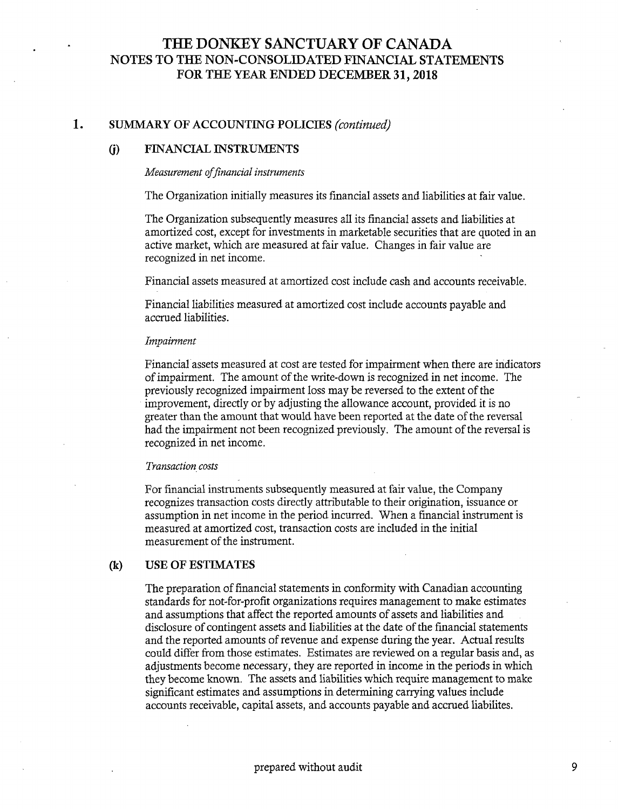#### 1. SUMMARY OF ACCOUNTING POLICIES *(continued)*

### **(j) FINANCIAL INSTRUMENTS**

#### *Measurement of financial instruments*

The Organization initially measures its financial assets and liabilities at fair value.

The Organization subsequently measures aI1 its financial assets and liabilities at amortized cost, except for investments in marketable securities that are quoted in an active market, which are measured at fair value. Changes in fair value are recognized in net income.

Financial assets measured at amortized cost include cash and accounts receivable.

Financial liabilities measured at amortized cost include accounts payable and accrued liabilities.

#### *Impairment*

Financial assets measured at cost are tested for impairment when there are indicators of impairment. The amount of the write-down is recognized in net income. The previously recognized impairment loss may be reversed to the extent of the improvement, directly or by adjusting the allowance account, provided it is no greater than the amount that would have been reported at the date of the reversal had the impairment not been recognized previously. The amount of the reversal is recognized in net income.

### *Transaction COSTS*

For financial instruments subsequently measured at fair value, the Company recognizes transaction costs directly attributable to their origination, issuance or assumption in net income in the period incurred. When a financial instrument is measured at amortized cost, transaction costs are included in the initial measurement of the instrument.

### (~ **USE OF ESTIMATES**

The preparation of financial statements in conformity with Canadian accounting standards for not-for-profit organizations requires management to make estimates and assumptions that affect the reported amounts of assets and liabilities and disclosure of contingent assets and liabilities at the date of the financial statements and the reported amounts of revenue and expense during the year. Actual results could differ from those estimates. Estimates are reviewed on a regular basis and, as adjustments become necessary, they are reported in income in the periods in which they become known. The assets and liabilities which require management to make significant estimates and assumptions in determining carrying values include accounts receivable, capital assets, and accounts payable and accrued liabilites.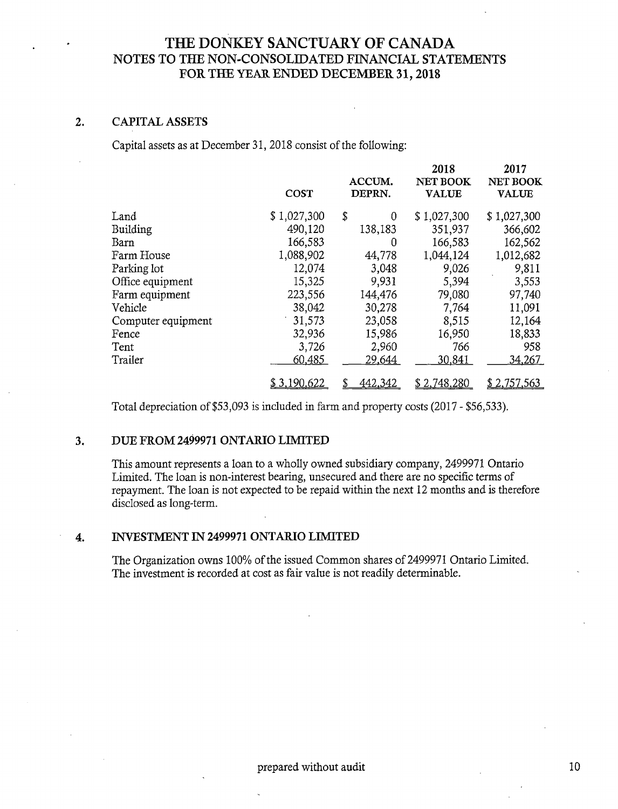#### $2.$ CAPITAL ASSETS

Capital assets as at December 31, 2018 consist of the following:

|                    | <b>COST</b>   | ACCUM.<br>DEPRN. | 2018<br>NET BOOK<br><b>VALUE</b> | 2017<br><b>NET BOOK</b><br><b>VALUE</b> |
|--------------------|---------------|------------------|----------------------------------|-----------------------------------------|
|                    |               |                  |                                  |                                         |
| Land               | \$1,027,300   | \$<br>0          | \$1,027,300                      | \$1,027,300                             |
| Building           | 490,120       | 138,183          | 351,937                          | 366,602                                 |
| Barn               | 166,583       | 0                | 166,583                          | 162,562                                 |
| Farm House         | 1,088,902     | 44,778           | 1,044,124                        | 1,012,682                               |
| Parking lot        | 12,074        | 3,048            | 9,026                            | 9,811                                   |
| Office equipment   | 15,325        | 9,931            | 5,394                            | 3,553                                   |
| Farm equipment     | 223,556       | 144,476          | 79,080                           | 97,740                                  |
| Vehicle            | 38,042        | 30,278           | 7,764                            | 11,091                                  |
| Computer equipment | 31,573        | 23,058           | 8,515                            | 12,164                                  |
| Fence              | 32,936        | 15,986           | 16,950                           | 18,833                                  |
| Tent               | 3,726         | 2,960            | 766                              | 958                                     |
| Trailer            | <u>60,485</u> | 29,644           | 30,841                           | 34,267                                  |
|                    | \$3,190,622   | <u>442,342</u>   | \$2,748,280                      | \$2,757,563                             |

Total depreciation of \$53,093 is included in farm and property costs (2017 - \$56,533).

#### DUE FROM 2499971 ONTARIO LIMITED  $3.$

This amount represents a loan to a wholly owned subsidiary company, 2499971 Ontario Limited. The loan is non-interest bearing, unsecured and there are no specific terms of repayment. The loan is not expected to be repaid within the next 12 months and is therefore disclosed as long-term.

### <sup>o</sup> **INVESTMENT IN 2499971 ONTARIO LIMITED**

The Organization owns 100% of the issued Common shares of 2499971 Ontario Limited. The investment is recorded at cost as fair value is not readily determinable.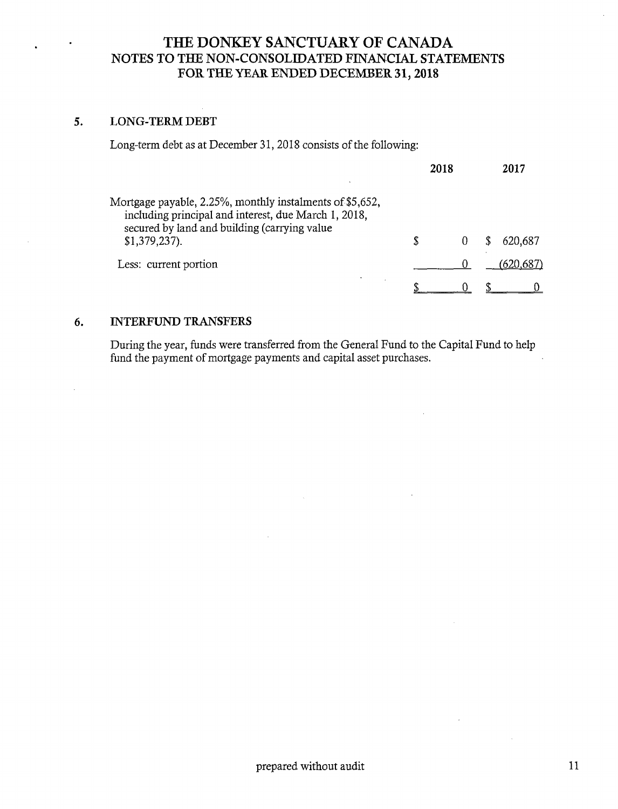#### 5. **LONG-TERM DEBT**

Long-term debt as at December 31, 2018 consists of the following:

|                                                                                                                                                                                     | 2018 |  | 2017     |
|-------------------------------------------------------------------------------------------------------------------------------------------------------------------------------------|------|--|----------|
| Mortgage payable, 2.25%, monthly instalments of \$5,652,<br>including principal and interest, due March 1, 2018,<br>secured by land and building (carrying value<br>$$1,379,237$ ). |      |  | 620.687  |
| Less: current portion                                                                                                                                                               |      |  | (620,687 |
|                                                                                                                                                                                     |      |  |          |

#### 6. INTERFUND TRANSFERS

During the year, funds were transferred from the General Fund to the Capital Fund to help fund the payment of mortgage payments and capital asset purchases.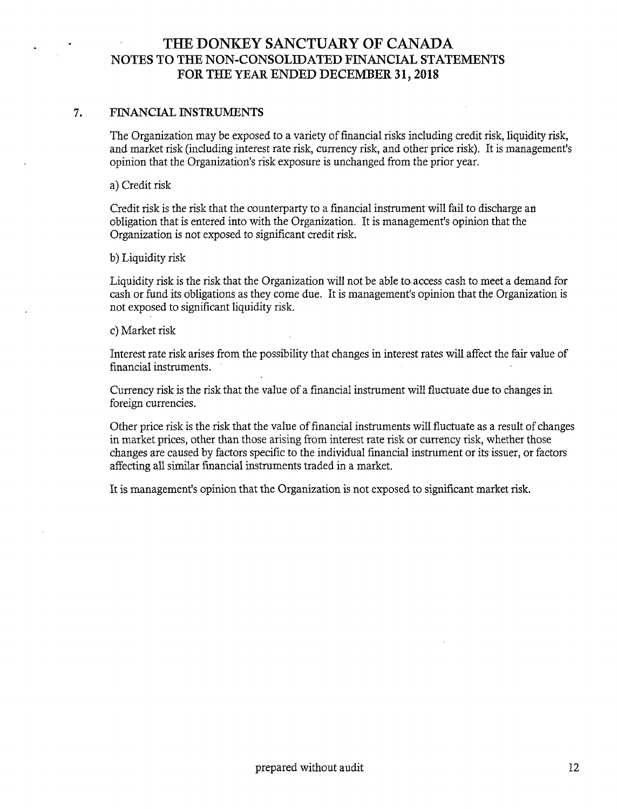### 7. FINANCIAL INSTRUMENTS

The Organization may be exposed to a variety of financial risks including credit risk, liquidity risk, and market risk (including interest rate risk, currency risk, and other price risk). It is management's opinion that the Organization's risk exposure is unchanged from the prior year.

a) Credit risk

Credit risk is the risk that the counterparty to a financial instrument will fail to discharge an obligation that is entered into with the Organization. It is management's opinion that the Organization is not exposed to significant credit risk.

b) Liquidity risk

Liquidity risk is the risk that the Organization will not be able to access cash to meet a demand for cash or fund its obligations as they come due. It is management's opinion that the Organization is not exposed to significant liquidity risk.

### c) Market risk

Interest rate risk arises from the possibility that changes in interest rates will affect the fair value of financial instruments.

Currency risk is the risk that the value of a financial instrument will fluctuate due to changes in foreign currencies.

Other price risk is the risk that the value of financial instruments will fluctuate as a resuk of changes in market prices, other than those arising from interest rate risk or currency risk, whether those changes are caused by factors specific to the individual financial instrument or its issuer, or factors affecting ali similar financial instruments traded in a market.

It is management's opinion that the Organization is not exposed to significant market risk.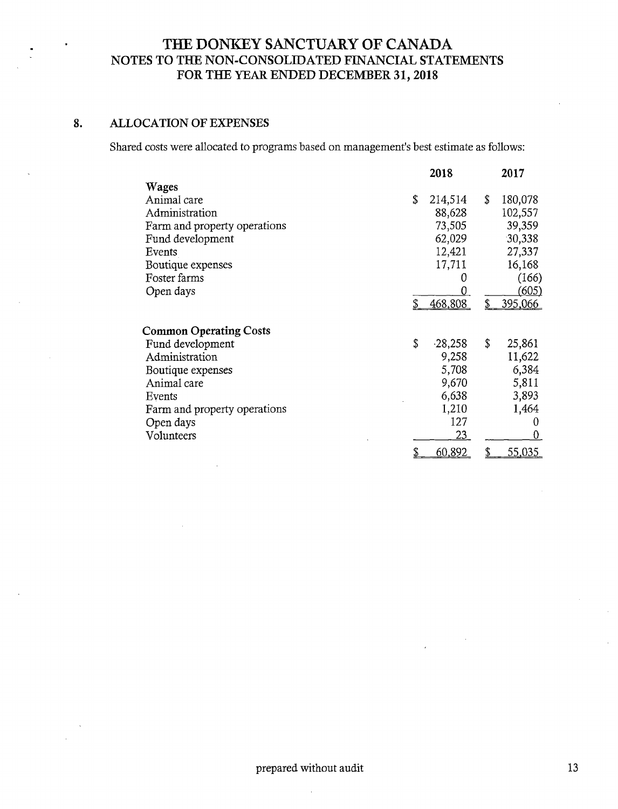#### **ALLOCATION OF EXPENSES** 8.

Shared costs were allocated to programs based on management's best estimate as follows:

|                               | 2018            |    | 2017    |
|-------------------------------|-----------------|----|---------|
| Wages                         |                 |    |         |
| Animal care                   | \$<br>214,514   | \$ | 180,078 |
| Administration                | 88,628          |    | 102,557 |
| Farm and property operations  | 73,505          |    | 39,359  |
| Fund development              | 62,029          |    | 30,338  |
| Events                        | 12,421          |    | 27,337  |
| Boutique expenses             | 17,711          |    | 16,168  |
| Foster farms                  | 0               |    | (166)   |
| Open days                     |                 |    | (605)   |
|                               | 468,808         | \$ | 395,066 |
| <b>Common Operating Costs</b> |                 |    |         |
| Fund development              | \$<br>$-28,258$ | \$ | 25,861  |
| Administration                | 9,258           |    | 11,622  |
| Boutique expenses             | 5,708           |    | 6,384   |
| Animal care                   | 9,670           |    | 5,811   |
| Events                        | 6,638           |    | 3,893   |
| Farm and property operations  | 1,210           |    | 1,464   |
| Open days                     | 127             |    | 0       |
| Volunteers                    | 23              |    | 0       |
|                               | 60,892          | S  | 55,035  |